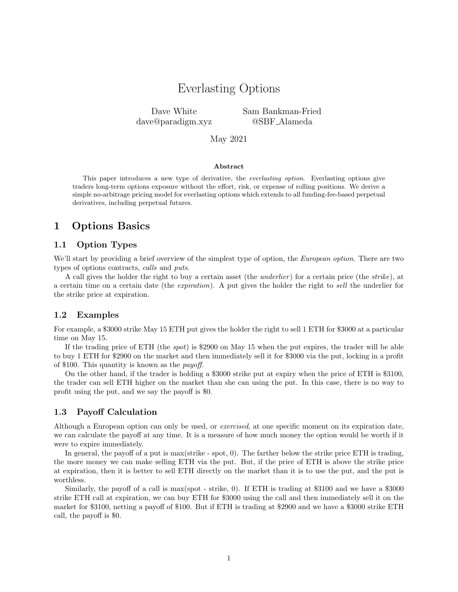## Everlasting Options

Dave White dave@paradigm.xyz Sam Bankman-Fried @SBF Alameda

May 2021

#### Abstract

This paper introduces a new type of derivative, the *everlasting option*. Everlasting options give traders long-term options exposure without the effort, risk, or expense of rolling positions. We derive a simple no-arbitrage pricing model for everlasting options which extends to all funding-fee-based perpetual derivatives, including perpetual futures.

## 1 Options Basics

#### 1.1 Option Types

We'll start by providing a brief overview of the simplest type of option, the *European option*. There are two types of options contracts, calls and puts.

A call gives the holder the right to buy a certain asset (the *underlier*) for a certain price (the *strike*), at a certain time on a certain date (the expiration). A put gives the holder the right to sell the underlier for the strike price at expiration.

#### 1.2 Examples

For example, a \$3000 strike May 15 ETH put gives the holder the right to sell 1 ETH for \$3000 at a particular time on May 15.

If the trading price of ETH (the spot) is \$2900 on May 15 when the put expires, the trader will be able to buy 1 ETH for \$2900 on the market and then immediately sell it for \$3000 via the put, locking in a profit of \$100. This quantity is known as the payoff.

On the other hand, if the trader is holding a \$3000 strike put at expiry when the price of ETH is \$3100, the trader can sell ETH higher on the market than she can using the put. In this case, there is no way to profit using the put, and we say the payoff is \$0.

#### 1.3 Payoff Calculation

Although a European option can only be used, or exercised, at one specific moment on its expiration date, we can calculate the payoff at any time. It is a measure of how much money the option would be worth if it were to expire immediately.

In general, the payoff of a put is max(strike - spot, 0). The farther below the strike price ETH is trading, the more money we can make selling ETH via the put. But, if the price of ETH is above the strike price at expiration, then it is better to sell ETH directly on the market than it is to use the put, and the put is worthless.

Similarly, the payoff of a call is max(spot - strike, 0). If ETH is trading at \$3100 and we have a \$3000 strike ETH call at expiration, we can buy ETH for \$3000 using the call and then immediately sell it on the market for \$3100, netting a payoff of \$100. But if ETH is trading at \$2900 and we have a \$3000 strike ETH call, the payoff is \$0.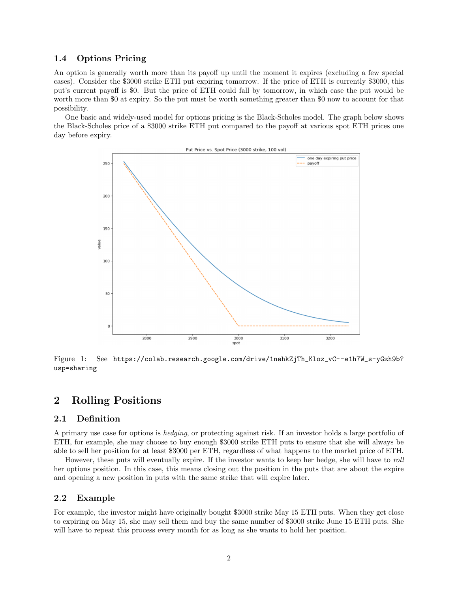#### 1.4 Options Pricing

An option is generally worth more than its payoff up until the moment it expires (excluding a few special cases). Consider the \$3000 strike ETH put expiring tomorrow. If the price of ETH is currently \$3000, this put's current payoff is \$0. But the price of ETH could fall by tomorrow, in which case the put would be worth more than \$0 at expiry. So the put must be worth something greater than \$0 now to account for that possibility.

One basic and widely-used model for options pricing is the Black-Scholes model. The graph below shows the Black-Scholes price of a \$3000 strike ETH put compared to the payoff at various spot ETH prices one day before expiry.



Figure 1: See https://colab.research.google.com/drive/1nehkZjTh\_Kloz\_vC--e1h7W\_s-yGzh9b? usp=sharing

## 2 Rolling Positions

### 2.1 Definition

A primary use case for options is hedging, or protecting against risk. If an investor holds a large portfolio of ETH, for example, she may choose to buy enough \$3000 strike ETH puts to ensure that she will always be able to sell her position for at least \$3000 per ETH, regardless of what happens to the market price of ETH.

However, these puts will eventually expire. If the investor wants to keep her hedge, she will have to roll her options position. In this case, this means closing out the position in the puts that are about the expire and opening a new position in puts with the same strike that will expire later.

#### 2.2 Example

For example, the investor might have originally bought \$3000 strike May 15 ETH puts. When they get close to expiring on May 15, she may sell them and buy the same number of \$3000 strike June 15 ETH puts. She will have to repeat this process every month for as long as she wants to hold her position.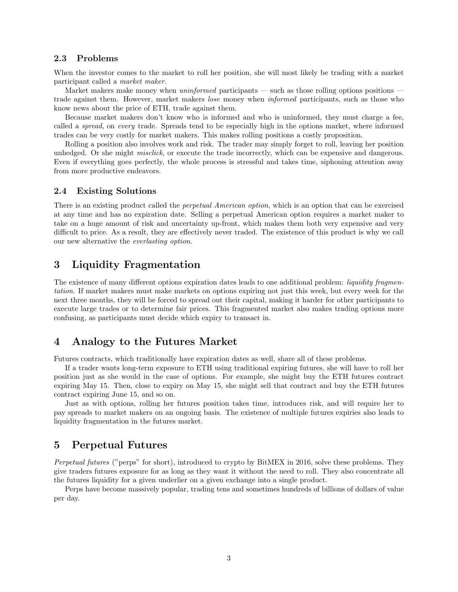#### 2.3 Problems

When the investor comes to the market to roll her position, she will most likely be trading with a market participant called a market maker.

Market makers make money when *uninformed* participants — such as those rolling options positions trade against them. However, market makers lose money when informed participants, such as those who know news about the price of ETH, trade against them.

Because market makers don't know who is informed and who is uninformed, they must charge a fee, called a *spread*, on *every* trade. Spreads tend to be especially high in the options market, where informed trades can be very costly for market makers. This makes rolling positions a costly proposition.

Rolling a position also involves work and risk. The trader may simply forget to roll, leaving her position unhedged. Or she might *misclick*, or execute the trade incorrectly, which can be expensive and dangerous. Even if everything goes perfectly, the whole process is stressful and takes time, siphoning attention away from more productive endeavors.

#### 2.4 Existing Solutions

There is an existing product called the perpetual American option, which is an option that can be exercised at any time and has no expiration date. Selling a perpetual American option requires a market maker to take on a huge amount of risk and uncertainty up-front, which makes them both very expensive and very difficult to price. As a result, they are effectively never traded. The existence of this product is why we call our new alternative the everlasting option.

## 3 Liquidity Fragmentation

The existence of many different options expiration dates leads to one additional problem: *liquidity fragmen*tation. If market makers must make markets on options expiring not just this week, but every week for the next three months, they will be forced to spread out their capital, making it harder for other participants to execute large trades or to determine fair prices. This fragmented market also makes trading options more confusing, as participants must decide which expiry to transact in.

## 4 Analogy to the Futures Market

Futures contracts, which traditionally have expiration dates as well, share all of these problems.

If a trader wants long-term exposure to ETH using traditional expiring futures, she will have to roll her position just as she would in the case of options. For example, she might buy the ETH futures contract expiring May 15. Then, close to expiry on May 15, she might sell that contract and buy the ETH futures contract expiring June 15, and so on.

Just as with options, rolling her futures position takes time, introduces risk, and will require her to pay spreads to market makers on an ongoing basis. The existence of multiple futures expiries also leads to liquidity fragmentation in the futures market.

## 5 Perpetual Futures

Perpetual futures ("perps" for short), introduced to crypto by BitMEX in 2016, solve these problems. They give traders futures exposure for as long as they want it without the need to roll. They also concentrate all the futures liquidity for a given underlier on a given exchange into a single product.

Perps have become massively popular, trading tens and sometimes hundreds of billions of dollars of value per day.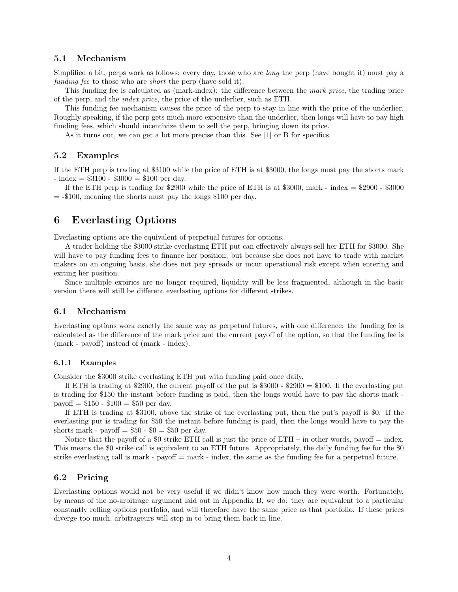#### 5.1 Mechanism

Simplified a bit, perps work as follows: every day, those who are long the perp (have bought it) must pay a funding fee to those who are *short* the perp (have sold it).

This funding fee is calculated as (mark-index): the difference between the mark price, the trading price of the perp, and the index price, the price of the underlier, such as ETH.

This funding fee mechanism causes the price of the perp to stay in line with the price of the underlier. Roughly speaking, if the perp gets much more expensive than the underlier, then longs will have to pay high funding fees, which should incentivize them to sell the perp, bringing down its price.

As it turns out, we can get a lot more precise than this. See [1] or B for specifics.

#### 5.2 Examples

If the ETH perp is trading at \$3100 while the price of ETH is at \$3000, the longs must pay the shorts mark  $-$  index  $= $3100 - $3000 = $100$  per day.

If the ETH perp is trading for \$2900 while the price of ETH is at \$3000, mark - index  $= $2900 - $3000$  $=$  -\$100, meaning the shorts must pay the longs \$100 per day.

## 6 Everlasting Options

Everlasting options are the equivalent of perpetual futures for options.

A trader holding the \$3000 strike everlasting ETH put can effectively always sell her ETH for \$3000. She will have to pay funding fees to finance her position, but because she does not have to trade with market makers on an ongoing basis, she does not pay spreads or incur operational risk except when entering and exiting her position.

Since multiple expiries are no longer required, liquidity will be less fragmented, although in the basic version there will still be different everlasting options for different strikes.

#### 6.1 Mechanism

Everlasting options work exactly the same way as perpetual futures, with one difference: the funding fee is calculated as the difference of the mark price and the current payoff of the option, so that the funding fee is (mark - payoff) instead of (mark - index).

#### 6.1.1 Examples

Consider the \$3000 strike everlasting ETH put with funding paid once daily.

If ETH is trading at \$2900, the current payoff of the put is \$3000 - \$2900 = \$100. If the everlasting put is trading for \$150 the instant before funding is paid, then the longs would have to pay the shorts mark payoff  $= $150 - $100 = $50$  per day.

If ETH is trading at \$3100, above the strike of the everlasting put, then the put's payoff is \$0. If the everlasting put is trading for \$50 the instant before funding is paid, then the longs would have to pay the shorts mark - payoff  $= $50 - $0 = $50$  per day.

Notice that the payoff of a \$0 strike ETH call is just the price of  $ETH - in$  other words, payoff  $=$  index. This means the \$0 strike call is equivalent to an ETH future. Appropriately, the daily funding fee for the \$0 strike everlasting call is mark - payoff  $=$  mark - index, the same as the funding fee for a perpetual future.

#### 6.2 Pricing

Everlasting options would not be very useful if we didn't know how much they were worth. Fortunately, by means of the no-arbitrage argument laid out in Appendix B, we do: they are equivalent to a particular constantly rolling options portfolio, and will therefore have the same price as that portfolio. If these prices diverge too much, arbitrageurs will step in to bring them back in line.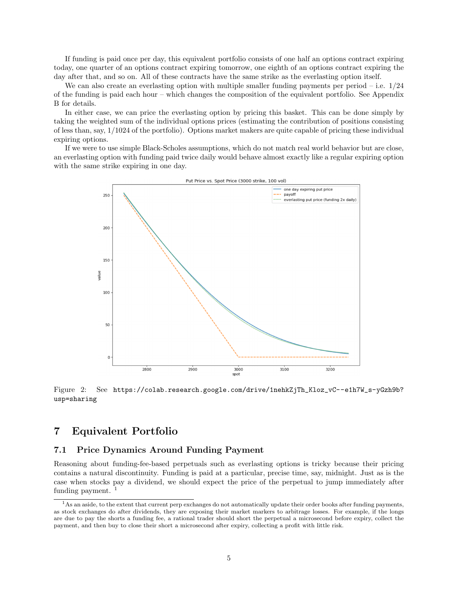If funding is paid once per day, this equivalent portfolio consists of one half an options contract expiring today, one quarter of an options contract expiring tomorrow, one eighth of an options contract expiring the day after that, and so on. All of these contracts have the same strike as the everlasting option itself.

We can also create an everlasting option with multiple smaller funding payments per period  $-$  i.e.  $1/24$ of the funding is paid each hour – which changes the composition of the equivalent portfolio. See Appendix B for details.

In either case, we can price the everlasting option by pricing this basket. This can be done simply by taking the weighted sum of the individual options prices (estimating the contribution of positions consisting of less than, say, 1/1024 of the portfolio). Options market makers are quite capable of pricing these individual expiring options.

If we were to use simple Black-Scholes assumptions, which do not match real world behavior but are close, an everlasting option with funding paid twice daily would behave almost exactly like a regular expiring option with the same strike expiring in one day.



Figure 2: See https://colab.research.google.com/drive/1nehkZjTh\_Kloz\_vC--e1h7W\_s-yGzh9b? usp=sharing

## 7 Equivalent Portfolio

### 7.1 Price Dynamics Around Funding Payment

Reasoning about funding-fee-based perpetuals such as everlasting options is tricky because their pricing contains a natural discontinuity. Funding is paid at a particular, precise time, say, midnight. Just as is the case when stocks pay a dividend, we should expect the price of the perpetual to jump immediately after funding payment.

<sup>&</sup>lt;sup>1</sup>As an aside, to the extent that current perp exchanges do not automatically update their order books after funding payments, as stock exchanges do after dividends, they are exposing their market markers to arbitrage losses. For example, if the longs are due to pay the shorts a funding fee, a rational trader should short the perpetual a microsecond before expiry, collect the payment, and then buy to close their short a microsecond after expiry, collecting a profit with little risk.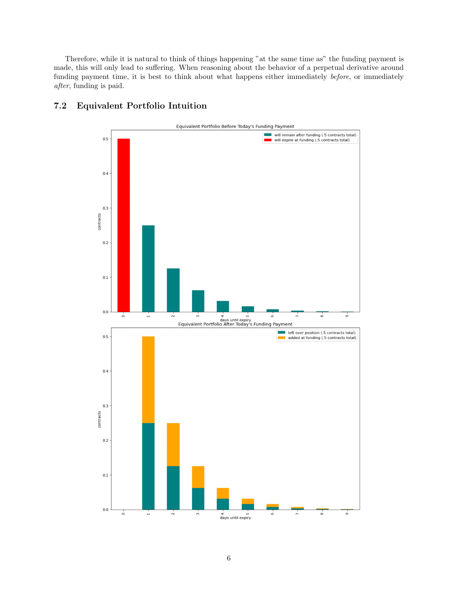Therefore, while it is natural to think of things happening "at the same time as" the funding payment is made, this will only lead to suffering. When reasoning about the behavior of a perpetual derivative around funding payment time, it is best to think about what happens either immediately before, or immediately after, funding is paid.



## 7.2 Equivalent Portfolio Intuition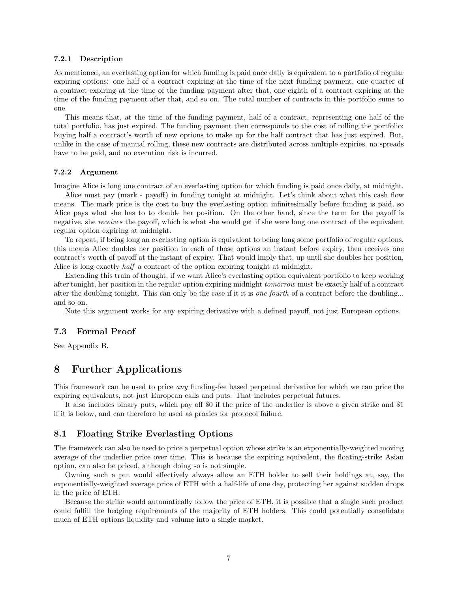#### 7.2.1 Description

As mentioned, an everlasting option for which funding is paid once daily is equivalent to a portfolio of regular expiring options: one half of a contract expiring at the time of the next funding payment, one quarter of a contract expiring at the time of the funding payment after that, one eighth of a contract expiring at the time of the funding payment after that, and so on. The total number of contracts in this portfolio sums to one.

This means that, at the time of the funding payment, half of a contract, representing one half of the total portfolio, has just expired. The funding payment then corresponds to the cost of rolling the portfolio: buying half a contract's worth of new options to make up for the half contract that has just expired. But, unlike in the case of manual rolling, these new contracts are distributed across multiple expiries, no spreads have to be paid, and no execution risk is incurred.

#### 7.2.2 Argument

Imagine Alice is long one contract of an everlasting option for which funding is paid once daily, at midnight. Alice must pay (mark - payoff) in funding tonight at midnight. Let's think about what this cash flow means. The mark price is the cost to buy the everlasting option infinitesimally before funding is paid, so Alice pays what she has to to double her position. On the other hand, since the term for the payoff is negative, she receives the payoff, which is what she would get if she were long one contract of the equivalent regular option expiring at midnight.

To repeat, if being long an everlasting option is equivalent to being long some portfolio of regular options, this means Alice doubles her position in each of those options an instant before expiry, then receives one contract's worth of payoff at the instant of expiry. That would imply that, up until she doubles her position, Alice is long exactly half a contract of the option expiring tonight at midnight.

Extending this train of thought, if we want Alice's everlasting option equivalent portfolio to keep working after tonight, her position in the regular option expiring midnight tomorrow must be exactly half of a contract after the doubling tonight. This can only be the case if it it is *one fourth* of a contract before the doubling... and so on.

Note this argument works for any expiring derivative with a defined payoff, not just European options.

#### 7.3 Formal Proof

See Appendix B.

## 8 Further Applications

This framework can be used to price any funding-fee based perpetual derivative for which we can price the expiring equivalents, not just European calls and puts. That includes perpetual futures.

It also includes binary puts, which pay off \$0 if the price of the underlier is above a given strike and \$1 if it is below, and can therefore be used as proxies for protocol failure.

#### 8.1 Floating Strike Everlasting Options

The framework can also be used to price a perpetual option whose strike is an exponentially-weighted moving average of the underlier price over time. This is because the expiring equivalent, the floating-strike Asian option, can also be priced, although doing so is not simple.

Owning such a put would effectively always allow an ETH holder to sell their holdings at, say, the exponentially-weighted average price of ETH with a half-life of one day, protecting her against sudden drops in the price of ETH.

Because the strike would automatically follow the price of ETH, it is possible that a single such product could fulfill the hedging requirements of the majority of ETH holders. This could potentially consolidate much of ETH options liquidity and volume into a single market.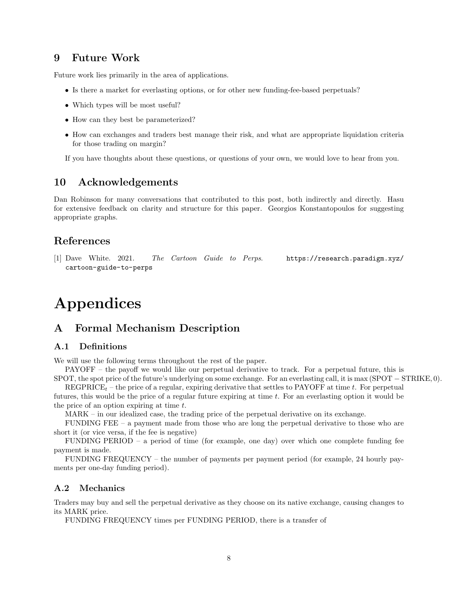## 9 Future Work

Future work lies primarily in the area of applications.

- Is there a market for everlasting options, or for other new funding-fee-based perpetuals?
- Which types will be most useful?
- How can they best be parameterized?
- How can exchanges and traders best manage their risk, and what are appropriate liquidation criteria for those trading on margin?

If you have thoughts about these questions, or questions of your own, we would love to hear from you.

## 10 Acknowledgements

Dan Robinson for many conversations that contributed to this post, both indirectly and directly. Hasu for extensive feedback on clarity and structure for this paper. Georgios Konstantopoulos for suggesting appropriate graphs.

## References

[1] Dave White. 2021. The Cartoon Guide to Perps. https://research.paradigm.xyz/ cartoon-guide-to-perps

## Appendices

## A Formal Mechanism Description

#### A.1 Definitions

We will use the following terms throughout the rest of the paper.

PAYOFF – the payoff we would like our perpetual derivative to track. For a perpetual future, this is SPOT, the spot price of the future's underlying on some exchange. For an everlasting call, it is max (SPOT − STRIKE, 0).

REGPRICE<sub>t</sub> – the price of a regular, expiring derivative that settles to PAYOFF at time t. For perpetual futures, this would be the price of a regular future expiring at time t. For an everlasting option it would be the price of an option expiring at time  $t$ .

MARK – in our idealized case, the trading price of the perpetual derivative on its exchange.

FUNDING FEE – a payment made from those who are long the perpetual derivative to those who are short it (or vice versa, if the fee is negative)

FUNDING PERIOD – a period of time (for example, one day) over which one complete funding fee payment is made.

FUNDING FREQUENCY – the number of payments per payment period (for example, 24 hourly payments per one-day funding period).

#### A.2 Mechanics

Traders may buy and sell the perpetual derivative as they choose on its native exchange, causing changes to its MARK price.

FUNDING FREQUENCY times per FUNDING PERIOD, there is a transfer of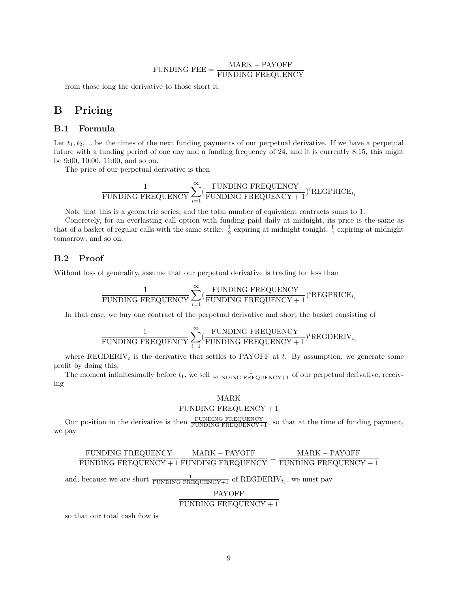## $\tt FUNDING\,\, FEE = \frac{\rm MARK - PAYOFF}{\rm FUNDING\,\,FREGUENCY}$

from those long the derivative to those short it.

## B Pricing

### B.1 Formula

Let  $t_1, t_2, \ldots$  be the times of the next funding payments of our perpetual derivative. If we have a perpetual future with a funding period of one day and a funding frequency of 24, and it is currently 8:15, this might be 9:00, 10:00, 11:00, and so on.

The price of our perpetual derivative is then

$$
\frac{1}{\text{FUNDING FREQUENCY}}\sum_{i=1}^{\infty}(\frac{\text{FUNDING FREQUENCY}}{\text{FUNDING FREQUENCY}+1})^i\text{REGPRICE}_{t_i}
$$

Note that this is a geometric series, and the total number of equivalent contracts sums to 1.

Concretely, for an everlasting call option with funding paid daily at midnight, its price is the same as that of a basket of regular calls with the same strike:  $\frac{1}{2}$  expiring at midnight tonight,  $\frac{1}{4}$  expiring at midnight tomorrow, and so on.

#### B.2 Proof

Without loss of generality, assume that our perpetual derivative is trading for less than

$$
\frac{1}{\text{FUNDING FREQUENCY}}\sum_{i=1}^{\infty}(\frac{\text{FUNDING FREQUENCY}}{\text{FUNDING FREQUENCY}+1})^i\text{REGPRICE}_{t_i}
$$

In that case, we buy one contract of the perpetual derivative and short the basket consisting of

$$
\frac{1}{\text{FUNDING FREQUENCY}}\sum_{i=1}^{\infty}(\frac{\text{FUNDING FREQUENCY}}{\text{FUNDING FREQUENCY}+1})^i\text{REGDERIV}_{t_i}
$$

where REGDERIV<sub>t</sub> is the derivative that settles to PAYOFF at t. By assumption, we generate some profit by doing this.

The moment infinitesimally before  $t_1$ , we sell  $\frac{1}{\text{FUNDING FREQUENCY}+1}$  of our perpetual derivative, receiving

#### MARK FUNDING FREQUENCY  $+1$

Our position in the derivative is then  $\frac{\text{FUNDING FREQUENCY}}{\text{FUNDING FREQUENCY}+1}$ , so that at the time of funding payment, we pay

#### FUNDING FREQUENCY  $\frac{1}{100}$  FUNDING FREQUENCY + 1 FUNDING FREQUENCY =  $\frac{1}{100}$  FUNDING FREQUENCY + 1  $\rm{MARK}-PAYOFF$ MARK − PAYOFF

and, because we are short  $\frac{1}{\text{FUNDING FREQUENCY}+1}$  of REGDERIV<sub>t<sub>1</sub></sub>, we must pay

## PAYOFF FUNDING FREQUENCY  $+1$

so that our total cash flow is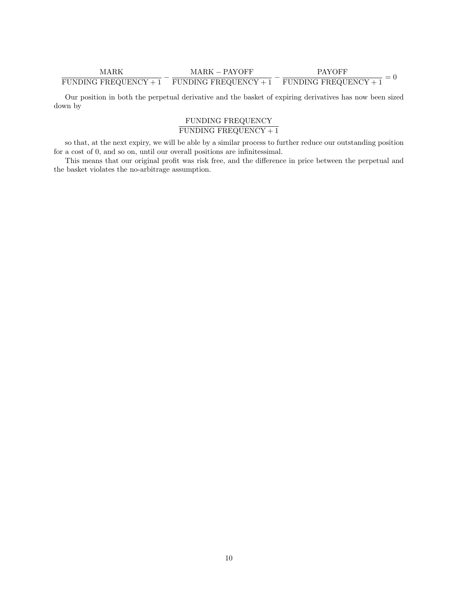# $\frac{\text{MARK}}{\text{FUNDING FREQUENCY}+1}-\frac{\text{MARK}-\text{PAYOFF}}{\text{FUNDING FREQUENCY}+1}-\frac{\text{PAYOFF}}{\text{FUNDING FREQUENCY}+1}=0$

Our position in both the perpetual derivative and the basket of expiring derivatives has now been sized down by

## FUNDING FREQUENCY

## FUNDING FREQUENCY + 1

so that, at the next expiry, we will be able by a similar process to further reduce our outstanding position for a cost of 0, and so on, until our overall positions are infinitessimal.

This means that our original profit was risk free, and the difference in price between the perpetual and the basket violates the no-arbitrage assumption.